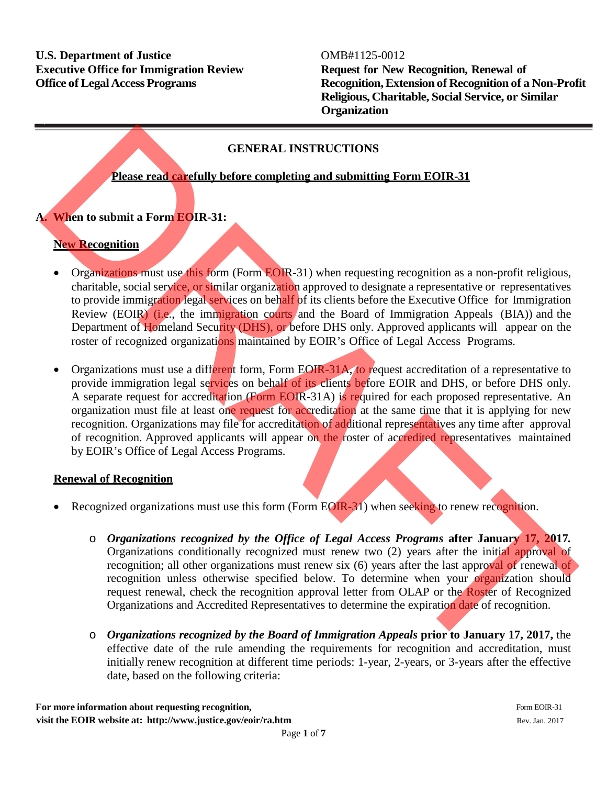**Office of LegalAccess Programs Recognition,Extension of Recognition of a Non-Profit Religious, Charitable, Social Service, or Similar**

# **GENERAL INSTRUCTIONS**

## **Please read carefully before completing and submitting Form EOIR-31**

## **A. When to submit a Form EOIR-31:**

## **New Recognition**

- Organizations must use this form (Form EOIR-31) when requesting recognition as a non-profit religious, charitable, social service, or similar organization approved to designate a representative or representatives to provide immigration legal services on behalf of its clients before the Executive Office for Immigration Review (EOIR) (i.e., the immigration courts and the Board of Immigration Appeals (BIA)) and the Department of Homeland Security (DHS), or before DHS only. Approved applicants will appear on the roster of recognized organizations maintained by EOIR's Office of Legal Access Programs.
- Organizations must use a different form, Form EOIR-31A, to request accreditation of a representative to provide immigration legal services on behalf of its clients before EOIR and DHS, or before DHS only. A separate request for accreditation (Form EOIR-31A) is required for each proposed representative. An organization must file at least one request for accreditation at the same time that it is applying for new recognition. Organizations may file for accreditation of additional representatives any time after approval of recognition. Approved applicants will appear on the roster of accredited representatives maintained by EOIR's Office of Legal Access Programs. **EXERAL INSTRUCTIONS**<br> **EXERAL INSTRUCTIONS**<br> **EXERAL INSTRUCTIONS**<br> **EXERAL INSTRUCTIONS**<br> **EXERCUTE AND ASSOCIATE ART CONSULTER CONSULTS (**<br> **EXERCUTE AND ASSOCIATE AND ASSOCIATE AND CONSULTS (**<br> **EXERCUTED ASSOCIATES)**

## **Renewal of Recognition**

- Recognized organizations must use this form (Form EOIR-31) when seeking to renew recognition.
	- o *Organizations recognized by the Office of Legal Access Programs* **after January 17, 2017***.* Organizations conditionally recognized must renew two (2) years after the initial approval of recognition; all other organizations must renew six (6) years after the last approval of renewal of recognition unless otherwise specified below. To determine when your organization should request renewal, check the recognition approval letter from OLAP or the Roster of Recognized Organizations and Accredited Representatives to determine the expiration date of recognition.
	- o *Organizations recognized by the Board of Immigration Appeals* **prior to January 17, 2017,** the effective date of the rule amending the requirements for recognition and accreditation, must initially renew recognition at different time periods: 1-year, 2-years, or 3-years after the effective date, based on the following criteria: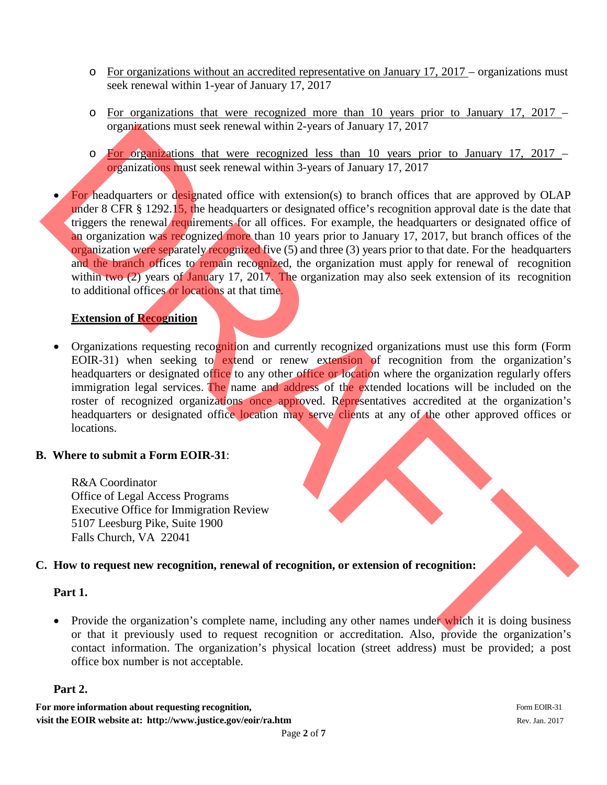- o For organizations without an accredited representative on January 17, 2017 organizations must seek renewal within 1-year of January 17, 2017
- o For organizations that were recognized more than 10 years prior to January 17, 2017 organizations must seek renewal within 2-years of January 17, 2017
- o For organizations that were recognized less than 10 years prior to January 17, 2017 organizations must seek renewal within 3-years of January 17, 2017
- For headquarters or designated office with extension(s) to branch offices that are approved by OLAP under 8 CFR § 1292.15, the headquarters or designated office's recognition approval date is the date that triggers the renewal requirements for all offices. For example, the headquarters or designated office of an organization was recognized more than 10 years prior to January 17, 2017, but branch offices of the organization were separately recognized five (5) and three (3) years prior to that date. For the headquarters and the branch offices to remain recognized, the organization must apply for renewal of recognition within two (2) years of January 17, 2017. The organization may also seek extension of its recognition to additional offices or locations at that time. organizations must seek renewal within 2-years of laminary 17, 2017<br>
To reginate that were recognized to the them 10, years prior to January 17, 2017<br>
To reachanges or designated office with estensions of laminary 17, 201

## **Extension of Recognition**

Organizations requesting recognition and currently recognized organizations must use this form (Form EOIR-31) when seeking to extend or renew extension of recognition from the organization's headquarters or designated office to any other office or location where the organization regularly offers immigration legal services. The name and address of the extended locations will be included on the roster of recognized organizations once approved. Representatives accredited at the organization's headquarters or designated office location may serve clients at any of the other approved offices or locations.

#### **B. Where to submit a Form EOIR-31**:

R&A Coordinator Office of Legal Access Programs Executive Office for Immigration Review 5107 Leesburg Pike, Suite 1900 Falls Church, VA 22041

#### **C. How to request new recognition, renewal of recognition, or extension of recognition:**

#### **Part 1.**

• Provide the organization's complete name, including any other names under which it is doing business or that it previously used to request recognition or accreditation. Also, provide the organization's contact information. The organization's physical location (street address) must be provided; a post office box number is not acceptable.

## **Part 2.**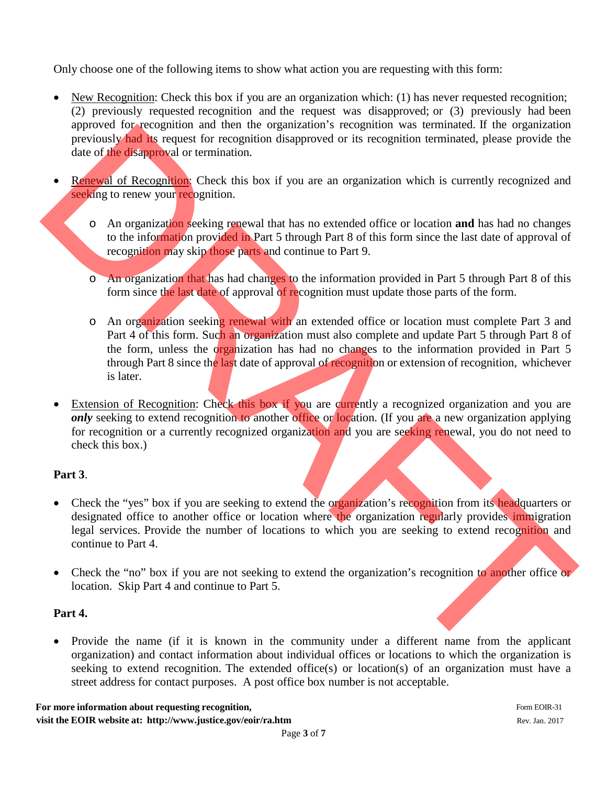Only choose one of the following items to show what action you are requesting with this form:

- New Recognition: Check this box if you are an organization which: (1) has never requested recognition; (2) previously requested recognition and the request was disapproved; or (3) previously had been approved for recognition and then the organization's recognition was terminated. If the organization previously had its request for recognition disapproved or its recognition terminated, please provide the date of the disapproval or termination.
- Renewal of Recognition: Check this box if you are an organization which is currently recognized and seeking to renew your recognition.
	- o An organization seeking renewal that has no extended office or location **and** has had no changes to the information provided in Part 5 through Part 8 of this form since the last date of approval of recognition may skip those parts and continue to Part 9.
	- o An organization that has had changes to the information provided in Part 5 through Part 8 of this form since the last date of approval of recognition must update those parts of the form.
- o An organization seeking renewal with an extended office or location must complete Part 3 and Part 4 of this form. Such an organization must also complete and update Part 5 through Part 8 of the form, unless the organization has had no changes to the information provided in Part 5 through Part 8 since the last date of approval of recognition or extension of recognition, whichever is later. approved of recognition and then the formula in the operation is extending to the regard of the computation of the state of the state of the state of the state of the state of the state of the state of the state of the st
	- Extension of Recognition: Check this box if you are currently a recognized organization and you are *only* seeking to extend recognition to another office or location. (If you are a new organization applying for recognition or a currently recognized organization and you are seeking renewal, you do not need to check this box.)

# **Part 3**.

- Check the "yes" box if you are seeking to extend the organization's recognition from its headquarters or designated office to another office or location where the organization regularly provides immigration legal services. Provide the number of locations to which you are seeking to extend recognition and continue to Part 4.
- Check the "no" box if you are not seeking to extend the organization's recognition to another office or location. Skip Part 4 and continue to Part 5.

## **Part 4.**

• Provide the name (if it is known in the community under a different name from the applicant organization) and contact information about individual offices or locations to which the organization is seeking to extend recognition. The extended office(s) or location(s) of an organization must have a street address for contact purposes. A post office box number is not acceptable.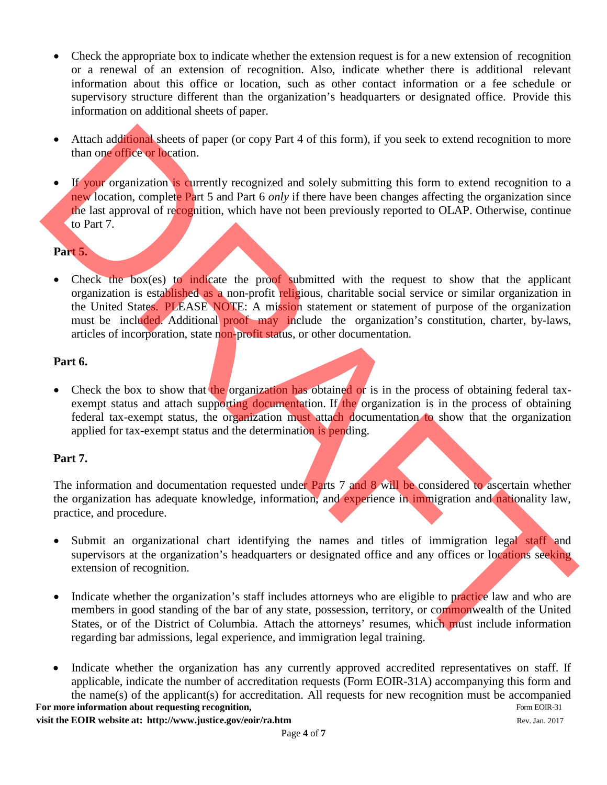- Check the appropriate box to indicate whether the extension request is for a new extension of recognition or a renewal of an extension of recognition. Also, indicate whether there is additional relevant information about this office or location, such as other contact information or a fee schedule or supervisory structure different than the organization's headquarters or designated office. Provide this information on additional sheets of paper.
- Attach additional sheets of paper (or copy Part 4 of this form), if you seek to extend recognition to more than one office or location.
- If your organization is currently recognized and solely submitting this form to extend recognition to a new location, complete Part 5 and Part 6 *only* if there have been changes affecting the organization since the last approval of recognition, which have not been previously reported to OLAP. Otherwise, continue to Part 7.

# **Part 5.**

Check the box(es) to indicate the proof submitted with the request to show that the applicant organization is established as a non-profit religious, charitable social service or similar organization in the United States. PLEASE NOTE: A mission statement or statement of purpose of the organization must be included. Additional proof may include the organization's constitution, charter, by-laws, articles of incorporation, state non-profit status, or other documentation. Attach address these to paper (or copy Part 4 of this form), if you seek to extend recognition to more than one of the beaming the commutation is compared and solely submitting this form to extend recognition to a free fr

## **Part 6.**

• Check the box to show that the organization has obtained or is in the process of obtaining federal taxexempt status and attach supporting documentation. If the organization is in the process of obtaining federal tax-exempt status, the organization must attach documentation to show that the organization applied for tax-exempt status and the determination is pending.

# **Part 7.**

The information and documentation requested under Parts 7 and 8 will be considered to ascertain whether the organization has adequate knowledge, information, and experience in immigration and nationality law, practice, and procedure.

- Submit an organizational chart identifying the names and titles of immigration legal staff and supervisors at the organization's headquarters or designated office and any offices or locations seeking extension of recognition.
- Indicate whether the organization's staff includes attorneys who are eligible to practice law and who are members in good standing of the bar of any state, possession, territory, or commonwealth of the United States, or of the District of Columbia. Attach the attorneys' resumes, which must include information regarding bar admissions, legal experience, and immigration legal training.
- **For more information about requesting recognition,** Form EOIR-31 • Indicate whether the organization has any currently approved accredited representatives on staff. If applicable, indicate the number of accreditation requests (Form EOIR-31A) accompanying this form and the name(s) of the applicant(s) for accreditation. All requests for new recognition must be accompanied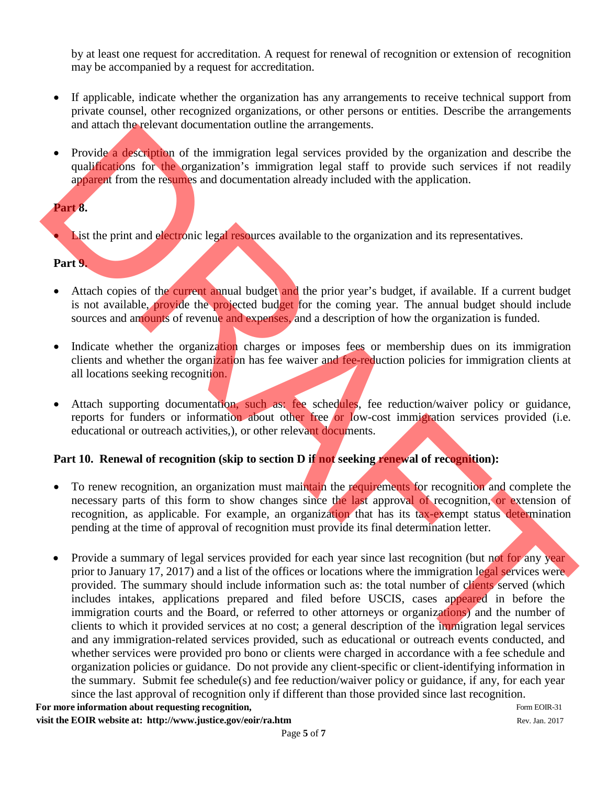by at least one request for accreditation. A request for renewal of recognition or extension of recognition may be accompanied by a request for accreditation.

- If applicable, indicate whether the organization has any arrangements to receive technical support from private counsel, other recognized organizations, or other persons or entities. Describe the arrangements and attach the relevant documentation outline the arrangements.
- Provide a description of the immigration legal services provided by the organization and describe the qualifications for the organization's immigration legal staff to provide such services if not readily apparent from the resumes and documentation already included with the application.

## **Part 8.**

List the print and electronic legal resources available to the organization and its representatives.

## **Part 9.**

- Attach copies of the current annual budget and the prior year's budget, if available. If a current budget is not available, provide the projected budget for the coming year. The annual budget should include sources and amounts of revenue and expenses, and a description of how the organization is funded.
- Indicate whether the organization charges or imposes fees or membership dues on its immigration clients and whether the organization has fee waiver and fee-reduction policies for immigration clients at all locations seeking recognition.
- Attach supporting documentation, such as: fee schedules, fee reduction/waiver policy or guidance, reports for funders or information about other free or low-cost immigration services provided (i.e. educational or outreach activities,), or other relevant documents.

# **Part 10. Renewal of recognition (skip to section D if not seeking renewal of recognition):**

- To renew recognition, an organization must maintain the requirements for recognition and complete the necessary parts of this form to show changes since the last approval of recognition, or extension of recognition, as applicable. For example, an organization that has its tax-exempt status determination pending at the time of approval of recognition must provide its final determination letter.
- Provide a summary of legal services provided for each year since last recognition (but not for any year prior to January 17, 2017) and a list of the offices or locations where the immigration legal services were provided. The summary should include information such as: the total number of clients served (which includes intakes, applications prepared and filed before USCIS, cases appeared in before the immigration courts and the Board, or referred to other attorneys or organizations) and the number of clients to which it provided services at no cost; a general description of the immigration legal services and any immigration-related services provided, such as educational or outreach events conducted, and whether services were provided pro bono or clients were charged in accordance with a fee schedule and organization policies or guidance. Do not provide any client-specific or client-identifying information in the summary. Submit fee schedule(s) and fee reduction/waiver policy or guidance, if any, for each year since the last approval of recognition only if different than those provided since last recognition. and water the description of the immigration legal services provide such a specific the required in the control of the immigration of the control of the control of the control of the control of the control of the control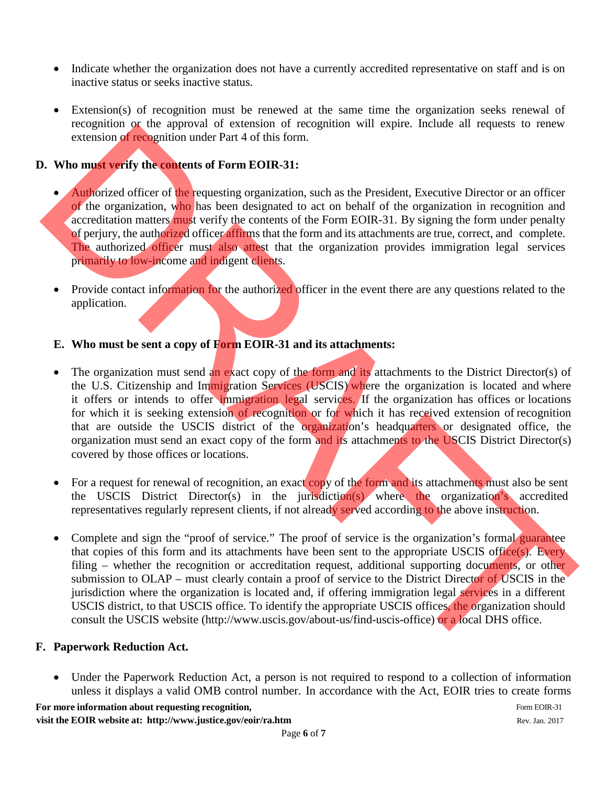- Indicate whether the organization does not have a currently accredited representative on staff and is on inactive status or seeks inactive status.
- Extension(s) of recognition must be renewed at the same time the organization seeks renewal of recognition or the approval of extension of recognition will expire. Include all requests to renew extension of recognition under Part 4 of this form.

## **D. Who must verify the contents of Form EOIR-31:**

- Authorized officer of the requesting organization, such as the President, Executive Director or an officer of the organization, who has been designated to act on behalf of the organization in recognition and accreditation matters must verify the contents of the Form EOIR-31. By signing the form under penalty of perjury, the authorized officer affirms that the form and its attachments are true, correct, and complete. The authorized officer must also attest that the organization provides immigration legal services primarily to low-income and indigent clients.
- Provide contact information for the authorized officer in the event there are any questions related to the application.

## **E. Who must be sent a copy of Form EOIR-31 and its attachments:**

- The organization must send an exact copy of the form and its attachments to the District Director(s) of the U.S. Citizenship and Immigration Services (USCIS) where the organization is located and where it offers or intends to offer immigration legal services. If the organization has offices or locations for which it is seeking extension of recognition or for which it has received extension of recognition that are outside the USCIS district of the organization's headquarters or designated office, the organization must send an exact copy of the form and its attachments to the USCIS District Director(s) covered by those offices or locations. Examina of the sphot of the Network of the Seminary of the function of the sphot of the sphot of the sphot of the sphot of the sphot of the sphot of the sphot of the sphot of the sphot of the sphot of the sphot of the sph
	- For a request for renewal of recognition, an exact copy of the form and its attachments must also be sent the USCIS District Director(s) in the jurisdiction(s) where the organization's accredited representatives regularly represent clients, if not already served according to the above instruction.
	- Complete and sign the "proof of service." The proof of service is the organization's formal guarantee that copies of this form and its attachments have been sent to the appropriate USCIS office(s). Every filing – whether the recognition or accreditation request, additional supporting documents, or other submission to OLAP – must clearly contain a proof of service to the District Director of USCIS in the jurisdiction where the organization is located and, if offering immigration legal services in a different USCIS district, to that USCIS office. To identify the appropriate USCIS offices, the organization should consult the USCIS website (http://www.uscis.gov/about-us/find-uscis-office) or a local DHS office.

#### **F. Paperwork Reduction Act.**

• Under the Paperwork Reduction Act, a person is not required to respond to a collection of information unless it displays a valid OMB control number. In accordance with the Act, EOIR tries to create forms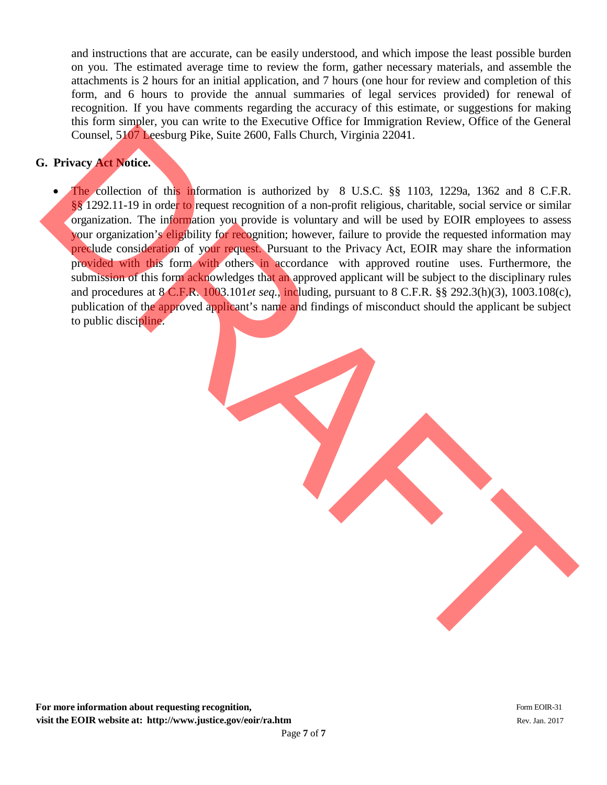and instructions that are accurate, can be easily understood, and which impose the least possible burden on you. The estimated average time to review the form, gather necessary materials, and assemble the attachments is 2 hours for an initial application, and 7 hours (one hour for review and completion of this form, and 6 hours to provide the annual summaries of legal services provided) for renewal of recognition. If you have comments regarding the accuracy of this estimate, or suggestions for making this form simpler, you can write to the Executive Office for Immigration Review, Office of the General Counsel, 5107 Leesburg Pike, Suite 2600, Falls Church, Virginia 22041.

# **G. Privacy Act Notice.**

The collection of this information is authorized by 8 U.S.C. §§ 1103, 1229a, 1362 and 8 C.F.R. §§ 1292.11-19 in order to request recognition of a non-profit religious, charitable, social service or similar organization. The information you provide is voluntary and will be used by EOIR employees to assess your organization's eligibility for recognition; however, failure to provide the requested information may preclude consideration of your request. Pursuant to the Privacy Act, EOIR may share the information provided with this form with others in accordance with approved routine uses. Furthermore, the submission of this form acknowledges that an approved applicant will be subject to the disciplinary rules and procedures at 8 C.F.R. 1003.101*et seq.*, including, pursuant to 8 C.F.R. §§ 292.3(h)(3), 1003.108(c), publication of the approved applicant's name and findings of misconduct should the applicant be subject to public discipline. Counsel, 5.07 Lecalum Pike, Suite 2001, Fulls Church, Virginia 22041.<br>
2. Privaty Art Nother of this information is anthonized by  $8 \text{ US C. } (8 \times 1107, 12256, 1562 \text{ and } 8 \text{ CFR},$ <br>
1. Privaty Art Nother in regime reception of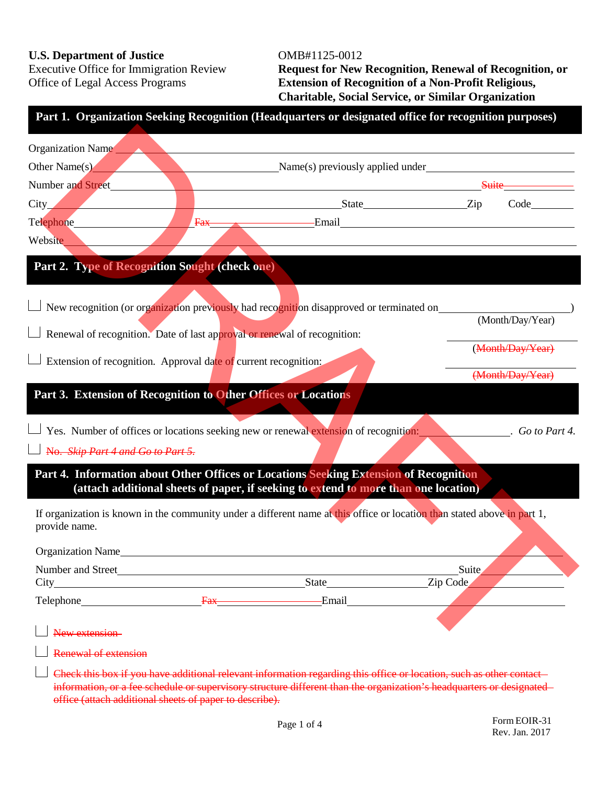**U.S. Department of Justice COMB#1125-0012**<br>
Executive Office for Immigration Review **Request for New** 

Executive Office for Immigration Review **Request for New Recognition, Renewal of Recognition, or**<br>Office of Legal Access Programs **Extension of Recognition of a Non-Profit Religious, Extension of Recognition of a Non-Profit Religious, Charitable, Social Service, or Similar Organization**

| Other Name $(s)$                                                                                                                                                                                                                             |        | Name(s) previously applied under                                                                                                                                             |                                                                                                                      |                            |
|----------------------------------------------------------------------------------------------------------------------------------------------------------------------------------------------------------------------------------------------|--------|------------------------------------------------------------------------------------------------------------------------------------------------------------------------------|----------------------------------------------------------------------------------------------------------------------|----------------------------|
| Number and Street                                                                                                                                                                                                                            |        |                                                                                                                                                                              |                                                                                                                      | Suite-                     |
| <u>and the community of the community of the community of the community of the community of the community of the community of the community of the community of the community of the community of the community of the community</u><br>City |        | State Zip                                                                                                                                                                    |                                                                                                                      | Code                       |
|                                                                                                                                                                                                                                              | Fax -- | Email                                                                                                                                                                        | <u> 1980 - Johann Barn, mars ann an t-Amhain Aonaich an t-Aonaich an t-Aonaich ann an t-Aonaich ann an t-Aonaich</u> |                            |
| Website                                                                                                                                                                                                                                      |        |                                                                                                                                                                              |                                                                                                                      |                            |
| Part 2. Type of Recognition Sought (check one)                                                                                                                                                                                               |        |                                                                                                                                                                              |                                                                                                                      |                            |
|                                                                                                                                                                                                                                              |        | New recognition (or organization previously had recognition disapproved or terminated on                                                                                     |                                                                                                                      |                            |
| $\Box$ Renewal of recognition. Date of last approval or renewal of recognition:                                                                                                                                                              |        |                                                                                                                                                                              |                                                                                                                      | (Month/Day/Year)           |
| Extension of recognition. Approval date of current recognition:                                                                                                                                                                              |        |                                                                                                                                                                              | (Month/Day/Year)                                                                                                     |                            |
|                                                                                                                                                                                                                                              |        |                                                                                                                                                                              |                                                                                                                      | (Month/Day/Year)           |
| Part 3. Extension of Recognition to Other Offices or Locations                                                                                                                                                                               |        |                                                                                                                                                                              |                                                                                                                      |                            |
|                                                                                                                                                                                                                                              |        | Yes. Number of offices or locations seeking new or renewal extension of recognition:                                                                                         |                                                                                                                      | $\therefore$ Go to Part 4. |
| No. Skip Part 4 and Go to Part 5.                                                                                                                                                                                                            |        |                                                                                                                                                                              |                                                                                                                      |                            |
|                                                                                                                                                                                                                                              |        | Part 4. Information about Other Offices or Locations Seeking Extension of Recognition<br>(attach additional sheets of paper, if seeking to extend to more than one location) |                                                                                                                      |                            |
| provide name.                                                                                                                                                                                                                                |        | If organization is known in the community under a different name at this office or location than stated above in part 1,                                                     |                                                                                                                      |                            |
| <b>Organization Name</b>                                                                                                                                                                                                                     |        |                                                                                                                                                                              |                                                                                                                      |                            |
| Number and Street                                                                                                                                                                                                                            |        |                                                                                                                                                                              | Suite                                                                                                                |                            |
|                                                                                                                                                                                                                                              |        | State_                                                                                                                                                                       | Zip Code                                                                                                             |                            |
|                                                                                                                                                                                                                                              | Fax    | -Email                                                                                                                                                                       |                                                                                                                      |                            |
| New extension-                                                                                                                                                                                                                               |        |                                                                                                                                                                              |                                                                                                                      |                            |
|                                                                                                                                                                                                                                              |        |                                                                                                                                                                              |                                                                                                                      |                            |
| Renewal of extension                                                                                                                                                                                                                         |        |                                                                                                                                                                              |                                                                                                                      |                            |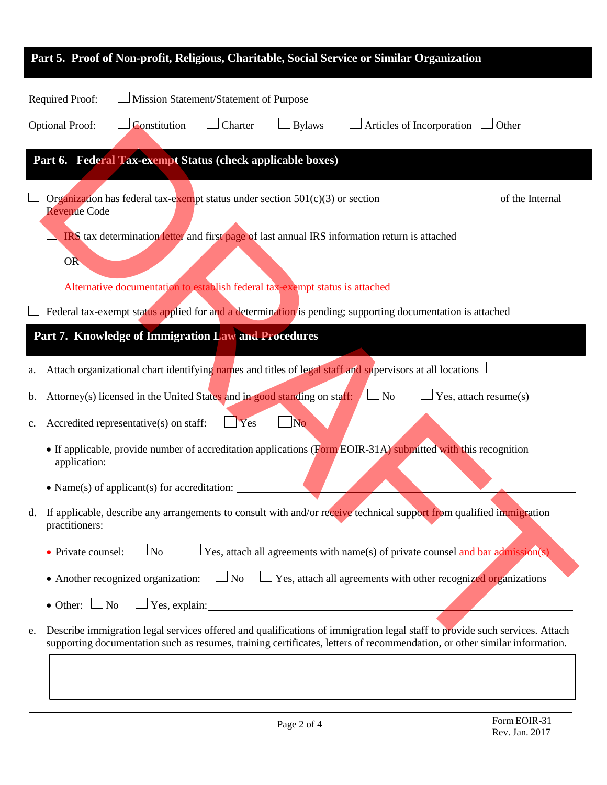| Part 5. Proof of Non-profit, Religious, Charitable, Social Service or Similar Organization                                                                                                                                                                    |  |  |  |  |  |  |
|---------------------------------------------------------------------------------------------------------------------------------------------------------------------------------------------------------------------------------------------------------------|--|--|--|--|--|--|
| Mission Statement/Statement of Purpose<br><b>Required Proof:</b>                                                                                                                                                                                              |  |  |  |  |  |  |
| $\Box$ Bylaws<br>$\Box$ Articles of Incorporation $\Box$ Other<br>Constitution<br>Charter<br><b>Optional Proof:</b>                                                                                                                                           |  |  |  |  |  |  |
| Part 6. Federal Tax-exempt Status (check applicable boxes)                                                                                                                                                                                                    |  |  |  |  |  |  |
| Organization has federal tax-exampt status under section $501(c)(3)$ or section<br>of the Internal<br><b>Revenue Code</b><br>IRS tax determination letter and first page of last annual IRS information return is attached                                    |  |  |  |  |  |  |
| OR <sub>1</sub>                                                                                                                                                                                                                                               |  |  |  |  |  |  |
| Alternative documentation to establish federal tax exempt status is attached                                                                                                                                                                                  |  |  |  |  |  |  |
| Federal tax-exempt status applied for and a determination is pending; supporting documentation is attached                                                                                                                                                    |  |  |  |  |  |  |
| Part 7. Knowledge of Immigration Law and Procedures                                                                                                                                                                                                           |  |  |  |  |  |  |
| Attach organizational chart identifying names and titles of legal staff and supervisors at all locations<br>a.                                                                                                                                                |  |  |  |  |  |  |
| $\Box$ No<br>Yes, attach $resume(s)$<br>Attorney(s) licensed in the United States and in good standing on staff:<br>b.                                                                                                                                        |  |  |  |  |  |  |
| <b>No</b><br>Accredited representative(s) on staff:<br>Yes<br>$\mathbf{c}$ .                                                                                                                                                                                  |  |  |  |  |  |  |
| • If applicable, provide number of accreditation applications (Form EOIR-31A) submitted with this recognition                                                                                                                                                 |  |  |  |  |  |  |
| $\bullet$ Name(s) of applicant(s) for accreditation:                                                                                                                                                                                                          |  |  |  |  |  |  |
| If applicable, describe any arrangements to consult with and/or receive technical support from qualified immigration<br>d.<br>practitioners:                                                                                                                  |  |  |  |  |  |  |
| $\Box$ Yes, attach all agreements with name(s) of private counsel and bar admission(s)<br>• Private counsel: $\Box$ No                                                                                                                                        |  |  |  |  |  |  |
| $\Box$ Yes, attach all agreements with other recognized organizations<br>$\Box$ No<br>• Another recognized organization:                                                                                                                                      |  |  |  |  |  |  |
| • Other: $\Box$ No $\Box$ Yes, explain:                                                                                                                                                                                                                       |  |  |  |  |  |  |
| Describe immigration legal services offered and qualifications of immigration legal staff to provide such services. Attach<br>e.<br>supporting documentation such as resumes, training certificates, letters of recommendation, or other similar information. |  |  |  |  |  |  |
|                                                                                                                                                                                                                                                               |  |  |  |  |  |  |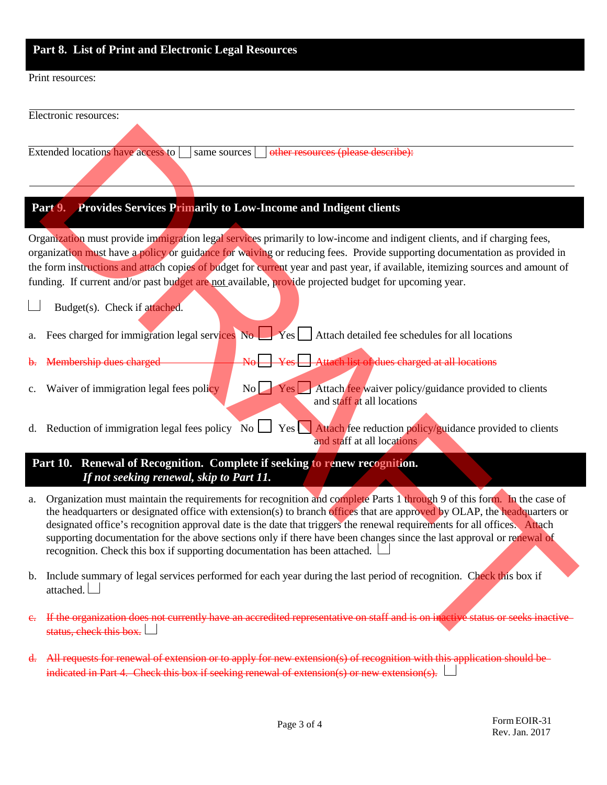# **Part 8. List of Print and Electronic Legal Resources**

#### Print resources:

|                        | Electronic resources:                                                                                                                                                                                                                                                                                                                                                                                                                                                                                                                                                                         |
|------------------------|-----------------------------------------------------------------------------------------------------------------------------------------------------------------------------------------------------------------------------------------------------------------------------------------------------------------------------------------------------------------------------------------------------------------------------------------------------------------------------------------------------------------------------------------------------------------------------------------------|
|                        | Extended locations have access to<br>same sources<br>other resources (please describe):                                                                                                                                                                                                                                                                                                                                                                                                                                                                                                       |
|                        | Provides Services Primarily to Low-Income and Indigent clients<br>Part 9.                                                                                                                                                                                                                                                                                                                                                                                                                                                                                                                     |
|                        | Organization must provide immigration legal services primarily to low-income and indigent clients, and if charging fees,<br>organization must have a policy or guidance for waiving or reducing fees. Provide supporting documentation as provided in<br>the form instructions and attach copies of budget for current year and past year, if available, itemizing sources and amount of<br>funding. If current and/or past budget are not available, provide projected budget for upcoming year.                                                                                             |
|                        | Budget(s). Check if attached.                                                                                                                                                                                                                                                                                                                                                                                                                                                                                                                                                                 |
| a.                     | Fees charged for immigration legal services No Yes Attach detailed fee schedules for all locations                                                                                                                                                                                                                                                                                                                                                                                                                                                                                            |
| <del>b.</del>          | Yes Attach list of dues charged at all locations<br>Membership dues charged                                                                                                                                                                                                                                                                                                                                                                                                                                                                                                                   |
| c.                     | No Yes Attach fee waiver policy/guidance provided to clients<br>Waiver of immigration legal fees policy<br>and staff at all locations                                                                                                                                                                                                                                                                                                                                                                                                                                                         |
|                        | Yes Attach fee reduction policy/guidance provided to clients<br>d. Reduction of immigration legal fees policy $\overline{N_0}$<br>and staff at all locations                                                                                                                                                                                                                                                                                                                                                                                                                                  |
|                        | Part 10. Renewal of Recognition. Complete if seeking to renew recognition.<br>If not seeking renewal, skip to Part 11.                                                                                                                                                                                                                                                                                                                                                                                                                                                                        |
| a.                     | Organization must maintain the requirements for recognition and complete Parts 1 through 9 of this form. In the case of<br>the headquarters or designated office with extension(s) to branch offices that are approved by OLAP, the headquarters or<br>designated office's recognition approval date is the date that triggers the renewal requirements for all offices. Attach<br>supporting documentation for the above sections only if there have been changes since the last approval or renewal of<br>recognition. Check this box if supporting documentation has been attached. $\Box$ |
| b.                     | Include summary of legal services performed for each year during the last period of recognition. Check this box if<br>attached.                                                                                                                                                                                                                                                                                                                                                                                                                                                               |
| $e_{\overline{\cdot}}$ | If the organization does not currently have an accredited representative on staff and is on inactive status or seeks inactive<br>status, check this box.                                                                                                                                                                                                                                                                                                                                                                                                                                      |
|                        | All requests for renewal of extension or to apply for new extension(s) of recognition with this application should be-                                                                                                                                                                                                                                                                                                                                                                                                                                                                        |

- b. Include summary of legal services performed for each year during the last period of recognition. Check this box if attached.
- c. If the organization does not currently have an accredited representative on staff and is on inactive status or seeks inactive status, check this box.
- d. All requests for renewal of extension or to apply for new extension(s) of recognition with this application should be indicated in Part 4. Check this box if seeking renewal of extension(s) or new extension(s).